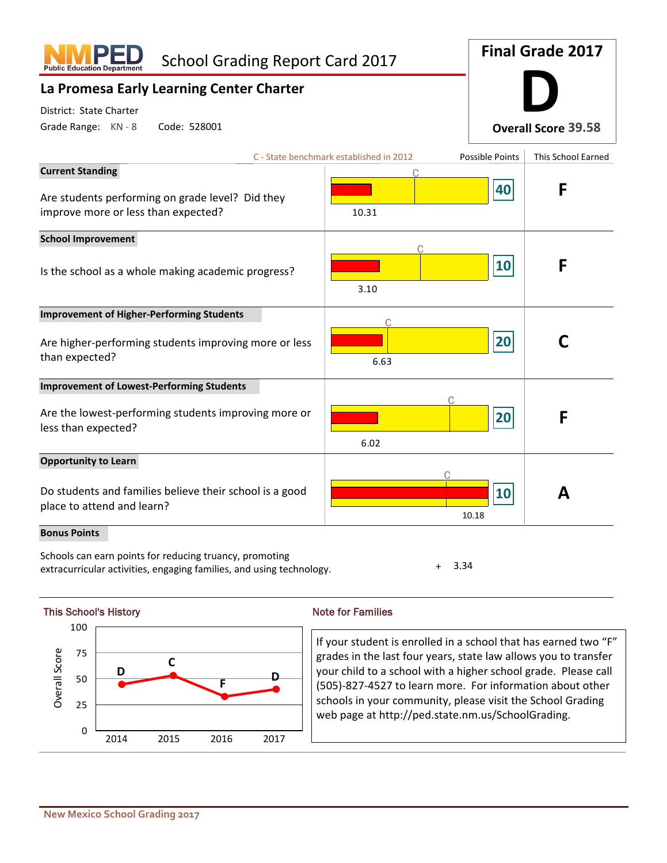| <b>School Grading Report Card 2017</b><br><b>Public Education Departi</b>                                          | <b>Final Grade 2017</b>                 |                 |                            |  |
|--------------------------------------------------------------------------------------------------------------------|-----------------------------------------|-----------------|----------------------------|--|
| La Promesa Early Learning Center Charter                                                                           |                                         |                 |                            |  |
| District: State Charter<br>Grade Range: KN - 8<br>Code: 528001                                                     |                                         |                 | <b>Overall Score 39.58</b> |  |
|                                                                                                                    | C - State benchmark established in 2012 | Possible Points | This School Earned         |  |
| <b>Current Standing</b><br>Are students performing on grade level? Did they<br>improve more or less than expected? | 10.31                                   | 40              | F                          |  |
| <b>School Improvement</b><br>Is the school as a whole making academic progress?                                    | 3.10                                    | 10              | F                          |  |
| <b>Improvement of Higher-Performing Students</b>                                                                   |                                         |                 |                            |  |
| Are higher-performing students improving more or less<br>than expected?                                            | 6.63                                    | 20              |                            |  |
| <b>Improvement of Lowest-Performing Students</b>                                                                   |                                         |                 |                            |  |
| Are the lowest-performing students improving more or<br>less than expected?                                        | 6.02                                    | 20              | F                          |  |
| <b>Opportunity to Learn</b>                                                                                        |                                         |                 |                            |  |
| Do students and families believe their school is a good<br>place to attend and learn?                              |                                         | 10<br>10.18     | Д                          |  |
| <b>Bonus Points</b>                                                                                                |                                         |                 |                            |  |

Schools can earn points for reducing truancy, promoting extracurricular activities, engaging families, and using technology.  $+ 3.34$ 

**D C F D** 0 25 50 75 100 Overall Score This School's History Note for Families 2014 2015 2016 2017

If your student is enrolled in a school that has earned two "F" grades in the last four years, state law allows you to transfer your child to a school with a higher school grade. Please call (505)-827-4527 to learn more. For information about other schools in your community, please visit the School Grading web page at http://ped.state.nm.us/SchoolGrading.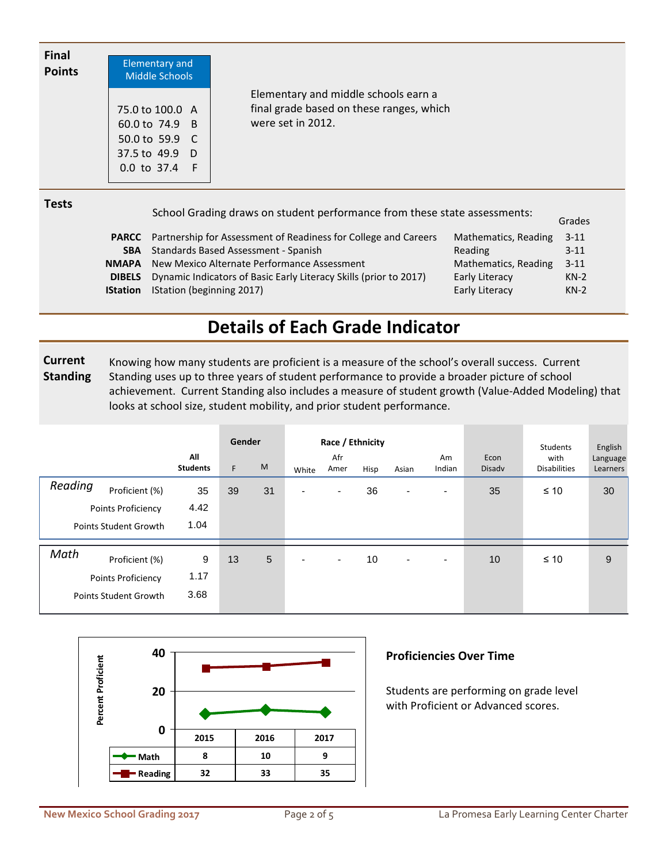| <b>Final</b><br><b>Points</b> | Elementary and<br><b>Middle Schools</b>                                                  |                                                                                                       |
|-------------------------------|------------------------------------------------------------------------------------------|-------------------------------------------------------------------------------------------------------|
|                               | 75.0 to 100.0 A<br>60.0 to 74.9 B<br>50.0 to 59.9 C<br>37.5 to 49.9 D<br>$0.0$ to 37.4 F | Elementary and middle schools earn a<br>final grade based on these ranges, which<br>were set in 2012. |
| <b>Tests</b>                  |                                                                                          | School Grading draws on student performance from these state assessments:<br>Grades                   |
|                               | <b>PARCC</b>                                                                             | Partnership for Assessment of Readiness for College and Careers<br>Mathematics, Reading<br>$3 - 11$   |

| <b>SBA</b> Standards Based Assessment - Spanish                                 |
|---------------------------------------------------------------------------------|
| <b>NMAPA</b> New Mexico Alternate Performance Assessment                        |
| <b>DIBELS</b> Dynamic Indicators of Basic Early Literacy Skills (prior to 2017) |

IStation (beginning 2017) **IStation**

## **Details of Each Grade Indicator**

 **Current Standing** Knowing how many students are proficient is a measure of the school's overall success. Current Standing uses up to three years of student performance to provide a broader picture of school achievement. Current Standing also includes a measure of student growth (Value-Added Modeling) that looks at school size, student mobility, and prior student performance.

|                                                                                     | All<br><b>Students</b> | Gender<br>F. | M  | White                    | Race / Ethnicity<br>Afr<br>Amer | Hisp | Asian                    | Am<br>Indian | Econ<br>Disadv | <b>Students</b><br>with<br><b>Disabilities</b> | English<br>Language<br>Learners |
|-------------------------------------------------------------------------------------|------------------------|--------------|----|--------------------------|---------------------------------|------|--------------------------|--------------|----------------|------------------------------------------------|---------------------------------|
| Reading<br>Proficient (%)<br>Points Proficiency<br><b>Points Student Growth</b>     | 35<br>4.42<br>1.04     | 39           | 31 | $\overline{\phantom{0}}$ | ٠                               | 36   | ٠                        | ۰            | 35             | $\leq 10$                                      | 30                              |
| Math<br>Proficient (%)<br><b>Points Proficiency</b><br><b>Points Student Growth</b> | 9<br>1.17<br>3.68      | 13           | 5  | $\overline{\phantom{0}}$ | ۰.                              | 10   | $\overline{\phantom{0}}$ | ٠            | 10             | $\leq 10$                                      | 9                               |



## **Proficiencies Over Time**

Students are performing on grade level with Proficient or Advanced scores.

Reading

Early Literacy Early Literacy

Mathematics, Reading 3-11

3-11

KN-2 KN-2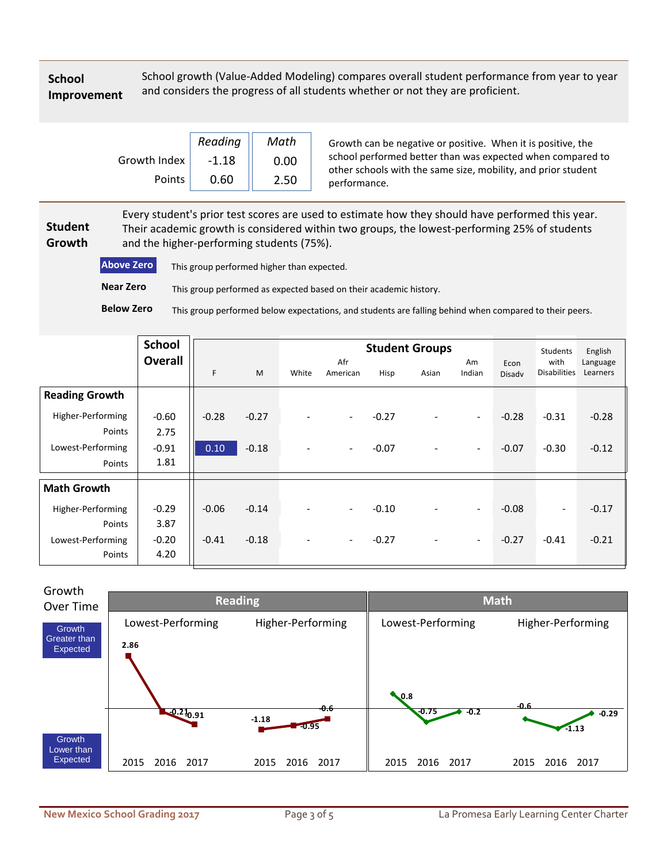#### **School Improvement**

School growth (Value-Added Modeling) compares overall student performance from year to year and considers the progress of all students whether or not they are proficient.

|              | Reading | Math |  |  |  |
|--------------|---------|------|--|--|--|
| Growth Index | -1.18   | 0.00 |  |  |  |
| Points       | 0.60    | 2.50 |  |  |  |

Growth can be negative or positive. When it is positive, the school performed better than was expected when compared to other schools with the same size, mobility, and prior student performance.

 **Student Growth** Every student's prior test scores are used to estimate how they should have performed this year. Their academic growth is considered within two groups, the lowest-performing 25% of students and the higher-performing students (75%).

**Above Zero** This group performed higher than expected. **Near Zero** This group performed as expected based on their academic history.

**Below Zero** This group performed below expectations, and students are falling behind when compared to their peers.

|                       | <b>School</b>  |         |         |                          | <b>Students</b>          | English |                          |                          |                |                             |                      |
|-----------------------|----------------|---------|---------|--------------------------|--------------------------|---------|--------------------------|--------------------------|----------------|-----------------------------|----------------------|
|                       | <b>Overall</b> | F       | M       | White                    | Afr<br>American          | Hisp    | Asian                    | Am<br>Indian             | Econ<br>Disadv | with<br><b>Disabilities</b> | Language<br>Learners |
| <b>Reading Growth</b> |                |         |         |                          |                          |         |                          |                          |                |                             |                      |
| Higher-Performing     | $-0.60$        | $-0.28$ | $-0.27$ | $\overline{\phantom{a}}$ | $\overline{\phantom{a}}$ | $-0.27$ | $\overline{\phantom{a}}$ | $-$                      | $-0.28$        | $-0.31$                     | $-0.28$              |
| Points                | 2.75           |         |         |                          |                          |         |                          |                          |                |                             |                      |
| Lowest-Performing     | $-0.91$        | 0.10    | $-0.18$ | $\overline{\phantom{a}}$ | $\overline{\phantom{a}}$ | $-0.07$ | $\overline{\phantom{a}}$ | $\overline{\phantom{a}}$ | $-0.07$        | $-0.30$                     | $-0.12$              |
| Points                | 1.81           |         |         |                          |                          |         |                          |                          |                |                             |                      |
| <b>Math Growth</b>    |                |         |         |                          |                          |         |                          |                          |                |                             |                      |
| Higher-Performing     | $-0.29$        | $-0.06$ | $-0.14$ | $\blacksquare$           | $\overline{\phantom{0}}$ | $-0.10$ | $\overline{\phantom{a}}$ | $\overline{\phantom{0}}$ | $-0.08$        | $\overline{\phantom{a}}$    | $-0.17$              |
| Points                | 3.87           |         |         |                          |                          |         |                          |                          |                |                             |                      |
| Lowest-Performing     | $-0.20$        | $-0.41$ | $-0.18$ | $\overline{\phantom{a}}$ | $\overline{\phantom{a}}$ | $-0.27$ | $\overline{\phantom{a}}$ | $\overline{\phantom{a}}$ | $-0.27$        | $-0.41$                     | $-0.21$              |
| Points                | 4.20           |         |         |                          |                          |         |                          |                          |                |                             |                      |

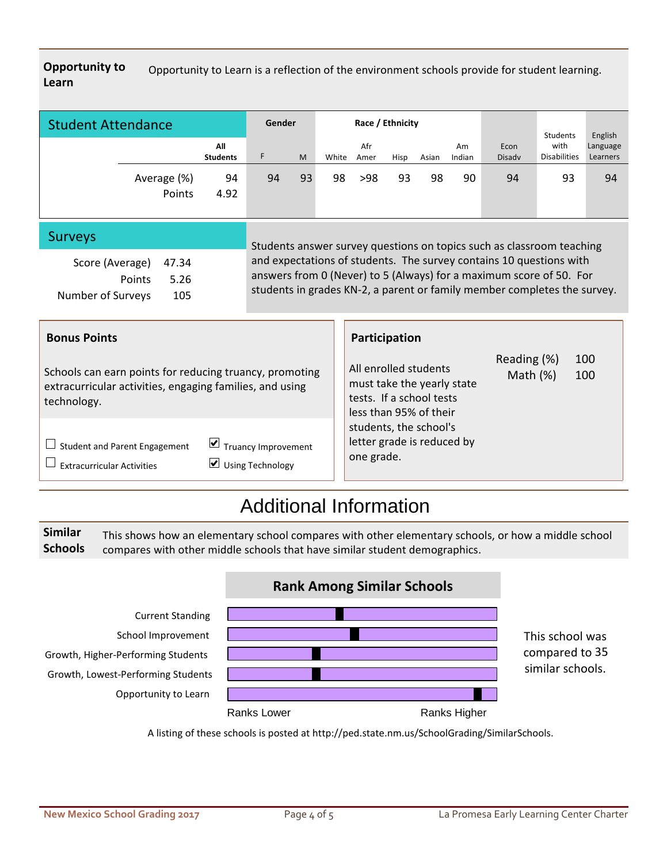**Opportunity to Learn** Opportunity to Learn is a reflection of the environment schools provide for student learning.

| <b>Student Attendance</b> |                       | Gender                 |    |    | Race / Ethnicity |             |      |       |              | Students              | English                     |                      |
|---------------------------|-----------------------|------------------------|----|----|------------------|-------------|------|-------|--------------|-----------------------|-----------------------------|----------------------|
|                           |                       | All<br><b>Students</b> | F  | M  | White            | Afr<br>Amer | Hisp | Asian | Am<br>Indian | Econ<br><b>Disady</b> | with<br><b>Disabilities</b> | Language<br>Learners |
|                           | Average (%)<br>Points | 94<br>4.92             | 94 | 93 | 98               | $>98$       | 93   | 98    | 90           | 94                    | 93                          | 94                   |

#### Surveys

| Score (Average)   | 47.34 |
|-------------------|-------|
| <b>Points</b>     | 5.26  |
| Number of Surveys | 105   |

Students answer survey questions on topics such as classroom teaching and expectations of students. The survey contains 10 questions with answers from 0 (Never) to 5 (Always) for a maximum score of 50. For students in grades KN-2, a parent or family member completes the survey.

#### **Bonus Points**

Schools can earn points for reducing truancy, promoting extracurricular activities, engaging families, and using technology.

## $\Box$  Student and Parent Engagement  $\Box$  Truancy Improvement

 $\square$  Extracurricular Activities  $\square$  Using Technology

## **Participation**

| All enrolled students<br>must take the yearly state<br>tests. If a school tests<br>less than 95% of their<br>students, the school's<br>letter grade is reduced by<br>one grade. | Reading (%)<br>Math $(%)$ | 100<br>100 |  |
|---------------------------------------------------------------------------------------------------------------------------------------------------------------------------------|---------------------------|------------|--|
|                                                                                                                                                                                 |                           |            |  |

# Additional Information

 **Similar Schools** This shows how an elementary school compares with other elementary schools, or how a middle school compares with other middle schools that have similar student demographics.



A listing of these schools is posted at http://ped.state.nm.us/SchoolGrading/SimilarSchools.